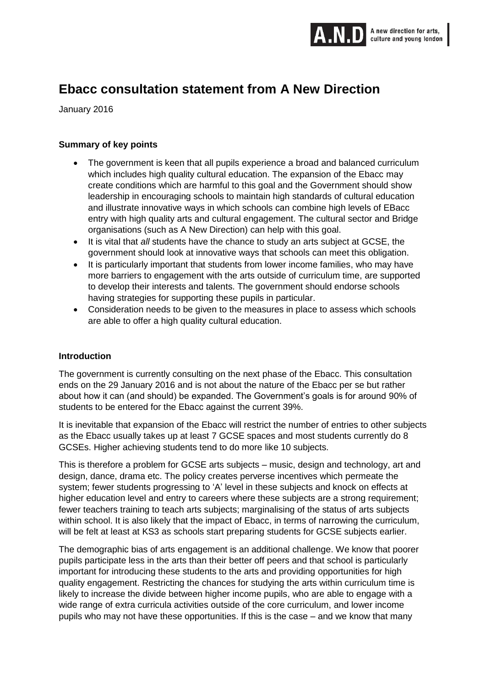

# **Ebacc consultation statement from A New Direction**

January 2016

## **Summary of key points**

- The government is keen that all pupils experience a broad and balanced curriculum which includes high quality cultural education. The expansion of the Ebacc may create conditions which are harmful to this goal and the Government should show leadership in encouraging schools to maintain high standards of cultural education and illustrate innovative ways in which schools can combine high levels of EBacc entry with high quality arts and cultural engagement. The cultural sector and Bridge organisations (such as A New Direction) can help with this goal.
- It is vital that *all* students have the chance to study an arts subject at GCSE, the government should look at innovative ways that schools can meet this obligation.
- It is particularly important that students from lower income families, who may have more barriers to engagement with the arts outside of curriculum time, are supported to develop their interests and talents. The government should endorse schools having strategies for supporting these pupils in particular.
- Consideration needs to be given to the measures in place to assess which schools are able to offer a high quality cultural education.

#### **Introduction**

The government is currently consulting on the next phase of the Ebacc. This consultation ends on the 29 January 2016 and is not about the nature of the Ebacc per se but rather about how it can (and should) be expanded. The Government's goals is for around 90% of students to be entered for the Ebacc against the current 39%.

It is inevitable that expansion of the Ebacc will restrict the number of entries to other subjects as the Ebacc usually takes up at least 7 GCSE spaces and most students currently do 8 GCSEs. Higher achieving students tend to do more like 10 subjects.

This is therefore a problem for GCSE arts subjects – music, design and technology, art and design, dance, drama etc. The policy creates perverse incentives which permeate the system; fewer students progressing to 'A' level in these subjects and knock on effects at higher education level and entry to careers where these subjects are a strong requirement; fewer teachers training to teach arts subjects; marginalising of the status of arts subjects within school. It is also likely that the impact of Ebacc, in terms of narrowing the curriculum, will be felt at least at KS3 as schools start preparing students for GCSE subjects earlier.

The demographic bias of arts engagement is an additional challenge. We know that poorer pupils participate less in the arts than their better off peers and that school is particularly important for introducing these students to the arts and providing opportunities for high quality engagement. Restricting the chances for studying the arts within curriculum time is likely to increase the divide between higher income pupils, who are able to engage with a wide range of extra curricula activities outside of the core curriculum, and lower income pupils who may not have these opportunities. If this is the case – and we know that many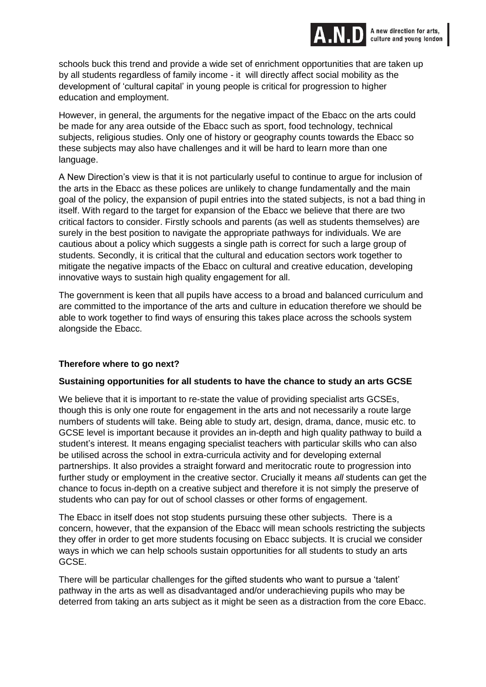

schools buck this trend and provide a wide set of enrichment opportunities that are taken up by all students regardless of family income - it will directly affect social mobility as the development of 'cultural capital' in young people is critical for progression to higher education and employment.

However, in general, the arguments for the negative impact of the Ebacc on the arts could be made for any area outside of the Ebacc such as sport, food technology, technical subjects, religious studies. Only one of history or geography counts towards the Ebacc so these subjects may also have challenges and it will be hard to learn more than one language.

A New Direction's view is that it is not particularly useful to continue to argue for inclusion of the arts in the Ebacc as these polices are unlikely to change fundamentally and the main goal of the policy, the expansion of pupil entries into the stated subjects, is not a bad thing in itself. With regard to the target for expansion of the Ebacc we believe that there are two critical factors to consider. Firstly schools and parents (as well as students themselves) are surely in the best position to navigate the appropriate pathways for individuals. We are cautious about a policy which suggests a single path is correct for such a large group of students. Secondly, it is critical that the cultural and education sectors work together to mitigate the negative impacts of the Ebacc on cultural and creative education, developing innovative ways to sustain high quality engagement for all.

The government is keen that all pupils have access to a broad and balanced curriculum and are committed to the importance of the arts and culture in education therefore we should be able to work together to find ways of ensuring this takes place across the schools system alongside the Ebacc.

#### **Therefore where to go next?**

#### **Sustaining opportunities for all students to have the chance to study an arts GCSE**

We believe that it is important to re-state the value of providing specialist arts GCSEs, though this is only one route for engagement in the arts and not necessarily a route large numbers of students will take. Being able to study art, design, drama, dance, music etc. to GCSE level is important because it provides an in-depth and high quality pathway to build a student's interest. It means engaging specialist teachers with particular skills who can also be utilised across the school in extra-curricula activity and for developing external partnerships. It also provides a straight forward and meritocratic route to progression into further study or employment in the creative sector. Crucially it means *all* students can get the chance to focus in-depth on a creative subject and therefore it is not simply the preserve of students who can pay for out of school classes or other forms of engagement.

The Ebacc in itself does not stop students pursuing these other subjects. There is a concern, however, that the expansion of the Ebacc will mean schools restricting the subjects they offer in order to get more students focusing on Ebacc subjects. It is crucial we consider ways in which we can help schools sustain opportunities for all students to study an arts GCSE.

There will be particular challenges for the gifted students who want to pursue a 'talent' pathway in the arts as well as disadvantaged and/or underachieving pupils who may be deterred from taking an arts subject as it might be seen as a distraction from the core Ebacc.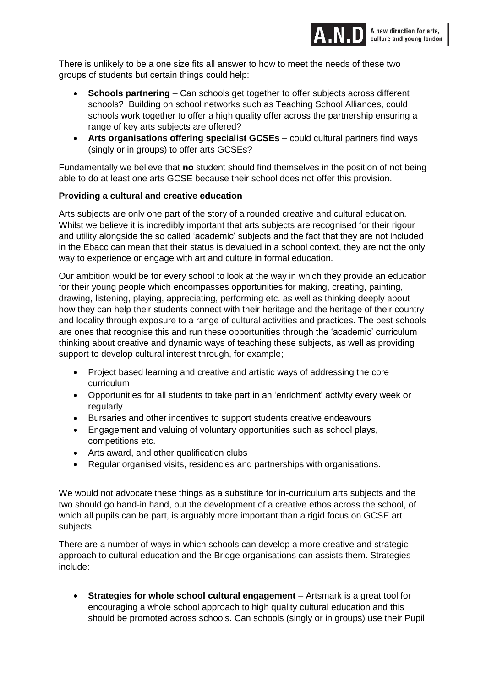

There is unlikely to be a one size fits all answer to how to meet the needs of these two groups of students but certain things could help:

- **Schools partnering** Can schools get together to offer subjects across different schools? Building on school networks such as Teaching School Alliances, could schools work together to offer a high quality offer across the partnership ensuring a range of key arts subjects are offered?
- **Arts organisations offering specialist GCSEs** could cultural partners find ways (singly or in groups) to offer arts GCSEs?

Fundamentally we believe that **no** student should find themselves in the position of not being able to do at least one arts GCSE because their school does not offer this provision.

## **Providing a cultural and creative education**

Arts subjects are only one part of the story of a rounded creative and cultural education. Whilst we believe it is incredibly important that arts subjects are recognised for their rigour and utility alongside the so called 'academic' subjects and the fact that they are not included in the Ebacc can mean that their status is devalued in a school context, they are not the only way to experience or engage with art and culture in formal education.

Our ambition would be for every school to look at the way in which they provide an education for their young people which encompasses opportunities for making, creating, painting, drawing, listening, playing, appreciating, performing etc. as well as thinking deeply about how they can help their students connect with their heritage and the heritage of their country and locality through exposure to a range of cultural activities and practices. The best schools are ones that recognise this and run these opportunities through the 'academic' curriculum thinking about creative and dynamic ways of teaching these subjects, as well as providing support to develop cultural interest through, for example;

- Project based learning and creative and artistic ways of addressing the core curriculum
- Opportunities for all students to take part in an 'enrichment' activity every week or regularly
- Bursaries and other incentives to support students creative endeavours
- Engagement and valuing of voluntary opportunities such as school plays, competitions etc.
- Arts award, and other qualification clubs
- Regular organised visits, residencies and partnerships with organisations.

We would not advocate these things as a substitute for in-curriculum arts subjects and the two should go hand-in hand, but the development of a creative ethos across the school, of which all pupils can be part, is arguably more important than a rigid focus on GCSE art subjects.

There are a number of ways in which schools can develop a more creative and strategic approach to cultural education and the Bridge organisations can assists them. Strategies include:

 **Strategies for whole school cultural engagement** – Artsmark is a great tool for encouraging a whole school approach to high quality cultural education and this should be promoted across schools. Can schools (singly or in groups) use their Pupil